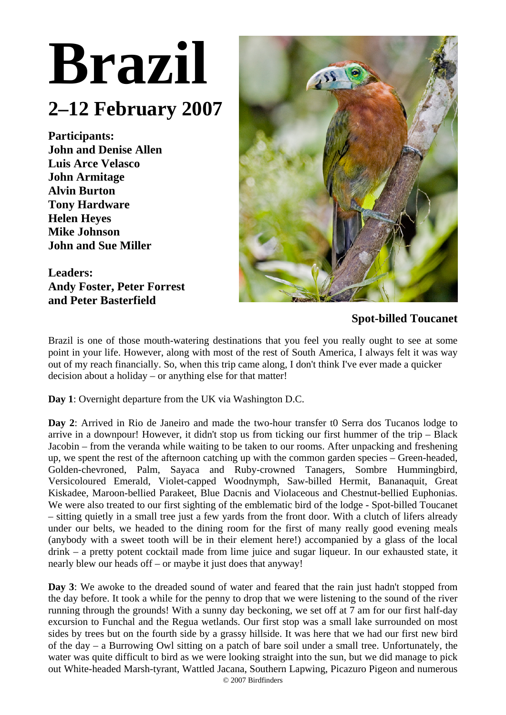## **Brazil**

## **2–12 February 2007**

**Participants: John and Denise Allen Luis Arce Velasco John Armitage Alvin Burton Tony Hardware Helen Heyes Mike Johnson John and Sue Miller** 

**Leaders: Andy Foster, Peter Forrest and Peter Basterfield**



## **Spot-billed Toucanet**

Brazil is one of those mouth-watering destinations that you feel you really ought to see at some point in your life. However, along with most of the rest of South America, I always felt it was way out of my reach financially. So, when this trip came along, I don't think I've ever made a quicker decision about a holiday – or anything else for that matter!

**Day 1**: Overnight departure from the UK via Washington D.C.

**Day 2**: Arrived in Rio de Janeiro and made the two-hour transfer t0 Serra dos Tucanos lodge to arrive in a downpour! However, it didn't stop us from ticking our first hummer of the trip – Black Jacobin – from the veranda while waiting to be taken to our rooms. After unpacking and freshening up, we spent the rest of the afternoon catching up with the common garden species – Green-headed, Golden-chevroned, Palm, Sayaca and Ruby-crowned Tanagers, Sombre Hummingbird, Versicoloured Emerald, Violet-capped Woodnymph, Saw-billed Hermit, Bananaquit, Great Kiskadee, Maroon-bellied Parakeet, Blue Dacnis and Violaceous and Chestnut-bellied Euphonias. We were also treated to our first sighting of the emblematic bird of the lodge - Spot-billed Toucanet – sitting quietly in a small tree just a few yards from the front door. With a clutch of lifers already under our belts, we headed to the dining room for the first of many really good evening meals (anybody with a sweet tooth will be in their element here!) accompanied by a glass of the local drink – a pretty potent cocktail made from lime juice and sugar liqueur. In our exhausted state, it nearly blew our heads off – or maybe it just does that anyway!

© 2007 Birdfinders **Day 3**: We awoke to the dreaded sound of water and feared that the rain just hadn't stopped from the day before. It took a while for the penny to drop that we were listening to the sound of the river running through the grounds! With a sunny day beckoning, we set off at 7 am for our first half-day excursion to Funchal and the Regua wetlands. Our first stop was a small lake surrounded on most sides by trees but on the fourth side by a grassy hillside. It was here that we had our first new bird of the day – a Burrowing Owl sitting on a patch of bare soil under a small tree. Unfortunately, the water was quite difficult to bird as we were looking straight into the sun, but we did manage to pick out White-headed Marsh-tyrant, Wattled Jacana, Southern Lapwing, Picazuro Pigeon and numerous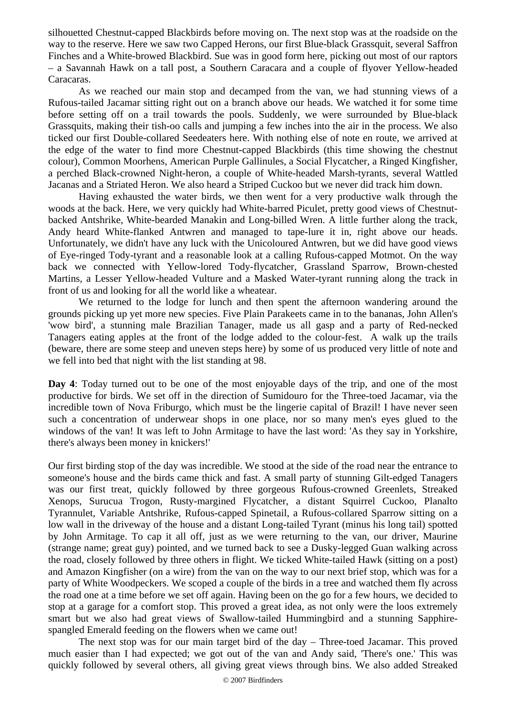silhouetted Chestnut-capped Blackbirds before moving on. The next stop was at the roadside on the way to the reserve. Here we saw two Capped Herons, our first Blue-black Grassquit, several Saffron Finches and a White-browed Blackbird. Sue was in good form here, picking out most of our raptors – a Savannah Hawk on a tall post, a Southern Caracara and a couple of flyover Yellow-headed Caracaras.

As we reached our main stop and decamped from the van, we had stunning views of a Rufous-tailed Jacamar sitting right out on a branch above our heads. We watched it for some time before setting off on a trail towards the pools. Suddenly, we were surrounded by Blue-black Grassquits, making their tish-oo calls and jumping a few inches into the air in the process. We also ticked our first Double-collared Seedeaters here. With nothing else of note en route, we arrived at the edge of the water to find more Chestnut-capped Blackbirds (this time showing the chestnut colour), Common Moorhens, American Purple Gallinules, a Social Flycatcher, a Ringed Kingfisher, a perched Black-crowned Night-heron, a couple of White-headed Marsh-tyrants, several Wattled Jacanas and a Striated Heron. We also heard a Striped Cuckoo but we never did track him down.

Having exhausted the water birds, we then went for a very productive walk through the woods at the back. Here, we very quickly had White-barred Piculet, pretty good views of Chestnutbacked Antshrike, White-bearded Manakin and Long-billed Wren. A little further along the track, Andy heard White-flanked Antwren and managed to tape-lure it in, right above our heads. Unfortunately, we didn't have any luck with the Unicoloured Antwren, but we did have good views of Eye-ringed Tody-tyrant and a reasonable look at a calling Rufous-capped Motmot. On the way back we connected with Yellow-lored Tody-flycatcher, Grassland Sparrow, Brown-chested Martins, a Lesser Yellow-headed Vulture and a Masked Water-tyrant running along the track in front of us and looking for all the world like a wheatear.

We returned to the lodge for lunch and then spent the afternoon wandering around the grounds picking up yet more new species. Five Plain Parakeets came in to the bananas, John Allen's 'wow bird', a stunning male Brazilian Tanager, made us all gasp and a party of Red-necked Tanagers eating apples at the front of the lodge added to the colour-fest. A walk up the trails (beware, there are some steep and uneven steps here) by some of us produced very little of note and we fell into bed that night with the list standing at 98.

**Day 4**: Today turned out to be one of the most enjoyable days of the trip, and one of the most productive for birds. We set off in the direction of Sumidouro for the Three-toed Jacamar, via the incredible town of Nova Friburgo, which must be the lingerie capital of Brazil! I have never seen such a concentration of underwear shops in one place, nor so many men's eyes glued to the windows of the van! It was left to John Armitage to have the last word: 'As they say in Yorkshire, there's always been money in knickers!'

Our first birding stop of the day was incredible. We stood at the side of the road near the entrance to someone's house and the birds came thick and fast. A small party of stunning Gilt-edged Tanagers was our first treat, quickly followed by three gorgeous Rufous-crowned Greenlets, Streaked Xenops, Surucua Trogon, Rusty-margined Flycatcher, a distant Squirrel Cuckoo, Planalto Tyrannulet, Variable Antshrike, Rufous-capped Spinetail, a Rufous-collared Sparrow sitting on a low wall in the driveway of the house and a distant Long-tailed Tyrant (minus his long tail) spotted by John Armitage. To cap it all off, just as we were returning to the van, our driver, Maurine (strange name; great guy) pointed, and we turned back to see a Dusky-legged Guan walking across the road, closely followed by three others in flight. We ticked White-tailed Hawk (sitting on a post) and Amazon Kingfisher (on a wire) from the van on the way to our next brief stop, which was for a party of White Woodpeckers. We scoped a couple of the birds in a tree and watched them fly across the road one at a time before we set off again. Having been on the go for a few hours, we decided to stop at a garage for a comfort stop. This proved a great idea, as not only were the loos extremely smart but we also had great views of Swallow-tailed Hummingbird and a stunning Sapphirespangled Emerald feeding on the flowers when we came out!

The next stop was for our main target bird of the day – Three-toed Jacamar. This proved much easier than I had expected; we got out of the van and Andy said, 'There's one.' This was quickly followed by several others, all giving great views through bins. We also added Streaked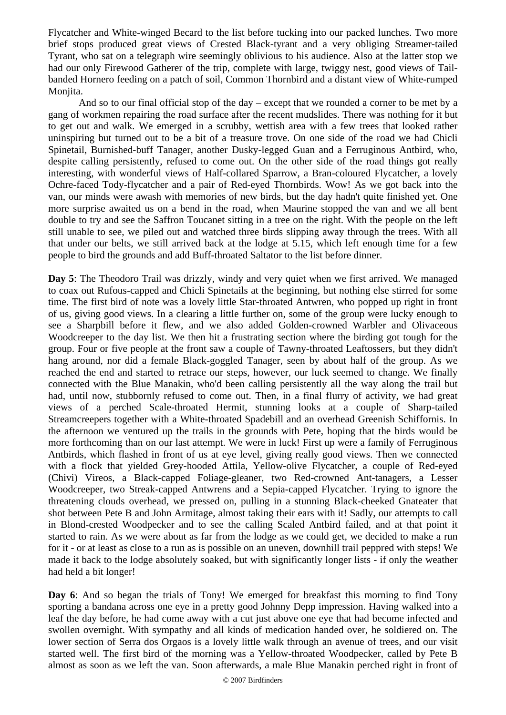Flycatcher and White-winged Becard to the list before tucking into our packed lunches. Two more brief stops produced great views of Crested Black-tyrant and a very obliging Streamer-tailed Tyrant, who sat on a telegraph wire seemingly oblivious to his audience. Also at the latter stop we had our only Firewood Gatherer of the trip, complete with large, twiggy nest, good views of Tailbanded Hornero feeding on a patch of soil, Common Thornbird and a distant view of White-rumped Moniita.

And so to our final official stop of the day – except that we rounded a corner to be met by a gang of workmen repairing the road surface after the recent mudslides. There was nothing for it but to get out and walk. We emerged in a scrubby, wettish area with a few trees that looked rather uninspiring but turned out to be a bit of a treasure trove. On one side of the road we had Chicli Spinetail, Burnished-buff Tanager, another Dusky-legged Guan and a Ferruginous Antbird, who, despite calling persistently, refused to come out. On the other side of the road things got really interesting, with wonderful views of Half-collared Sparrow, a Bran-coloured Flycatcher, a lovely Ochre-faced Tody-flycatcher and a pair of Red-eyed Thornbirds. Wow! As we got back into the van, our minds were awash with memories of new birds, but the day hadn't quite finished yet. One more surprise awaited us on a bend in the road, when Maurine stopped the van and we all bent double to try and see the Saffron Toucanet sitting in a tree on the right. With the people on the left still unable to see, we piled out and watched three birds slipping away through the trees. With all that under our belts, we still arrived back at the lodge at 5.15, which left enough time for a few people to bird the grounds and add Buff-throated Saltator to the list before dinner.

**Day 5**: The Theodoro Trail was drizzly, windy and very quiet when we first arrived. We managed to coax out Rufous-capped and Chicli Spinetails at the beginning, but nothing else stirred for some time. The first bird of note was a lovely little Star-throated Antwren, who popped up right in front of us, giving good views. In a clearing a little further on, some of the group were lucky enough to see a Sharpbill before it flew, and we also added Golden-crowned Warbler and Olivaceous Woodcreeper to the day list. We then hit a frustrating section where the birding got tough for the group. Four or five people at the front saw a couple of Tawny-throated Leaftossers, but they didn't hang around, nor did a female Black-goggled Tanager, seen by about half of the group. As we reached the end and started to retrace our steps, however, our luck seemed to change. We finally connected with the Blue Manakin, who'd been calling persistently all the way along the trail but had, until now, stubbornly refused to come out. Then, in a final flurry of activity, we had great views of a perched Scale-throated Hermit, stunning looks at a couple of Sharp-tailed Streamcreepers together with a White-throated Spadebill and an overhead Greenish Schiffornis. In the afternoon we ventured up the trails in the grounds with Pete, hoping that the birds would be more forthcoming than on our last attempt. We were in luck! First up were a family of Ferruginous Antbirds, which flashed in front of us at eye level, giving really good views. Then we connected with a flock that yielded Grey-hooded Attila, Yellow-olive Flycatcher, a couple of Red-eyed (Chivi) Vireos, a Black-capped Foliage-gleaner, two Red-crowned Ant-tanagers, a Lesser Woodcreeper, two Streak-capped Antwrens and a Sepia-capped Flycatcher. Trying to ignore the threatening clouds overhead, we pressed on, pulling in a stunning Black-cheeked Gnateater that shot between Pete B and John Armitage, almost taking their ears with it! Sadly, our attempts to call in Blond-crested Woodpecker and to see the calling Scaled Antbird failed, and at that point it started to rain. As we were about as far from the lodge as we could get, we decided to make a run for it - or at least as close to a run as is possible on an uneven, downhill trail peppred with steps! We made it back to the lodge absolutely soaked, but with significantly longer lists - if only the weather had held a bit longer!

Day 6: And so began the trials of Tony! We emerged for breakfast this morning to find Tony sporting a bandana across one eye in a pretty good Johnny Depp impression. Having walked into a leaf the day before, he had come away with a cut just above one eye that had become infected and swollen overnight. With sympathy and all kinds of medication handed over, he soldiered on. The lower section of Serra dos Orgaos is a lovely little walk through an avenue of trees, and our visit started well. The first bird of the morning was a Yellow-throated Woodpecker, called by Pete B almost as soon as we left the van. Soon afterwards, a male Blue Manakin perched right in front of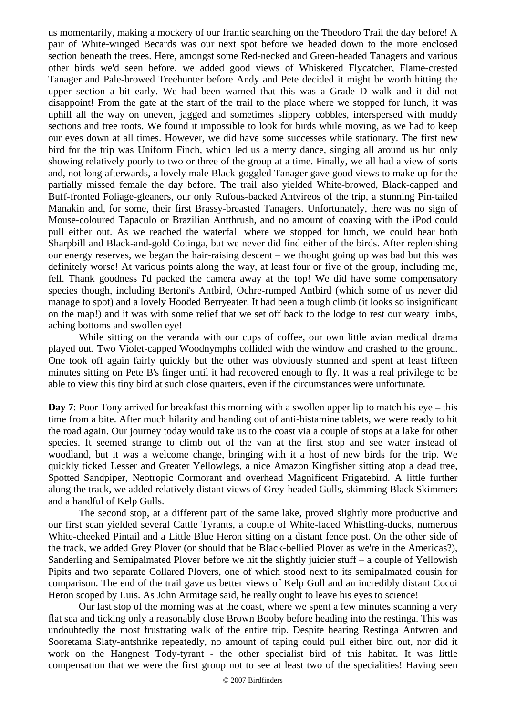us momentarily, making a mockery of our frantic searching on the Theodoro Trail the day before! A pair of White-winged Becards was our next spot before we headed down to the more enclosed section beneath the trees. Here, amongst some Red-necked and Green-headed Tanagers and various other birds we'd seen before, we added good views of Whiskered Flycatcher, Flame-crested Tanager and Pale-browed Treehunter before Andy and Pete decided it might be worth hitting the upper section a bit early. We had been warned that this was a Grade D walk and it did not disappoint! From the gate at the start of the trail to the place where we stopped for lunch, it was uphill all the way on uneven, jagged and sometimes slippery cobbles, interspersed with muddy sections and tree roots. We found it impossible to look for birds while moving, as we had to keep our eyes down at all times. However, we did have some successes while stationary. The first new bird for the trip was Uniform Finch, which led us a merry dance, singing all around us but only showing relatively poorly to two or three of the group at a time. Finally, we all had a view of sorts and, not long afterwards, a lovely male Black-goggled Tanager gave good views to make up for the partially missed female the day before. The trail also yielded White-browed, Black-capped and Buff-fronted Foliage-gleaners, our only Rufous-backed Antvireos of the trip, a stunning Pin-tailed Manakin and, for some, their first Brassy-breasted Tanagers. Unfortunately, there was no sign of Mouse-coloured Tapaculo or Brazilian Antthrush, and no amount of coaxing with the iPod could pull either out. As we reached the waterfall where we stopped for lunch, we could hear both Sharpbill and Black-and-gold Cotinga, but we never did find either of the birds. After replenishing our energy reserves, we began the hair-raising descent – we thought going up was bad but this was definitely worse! At various points along the way, at least four or five of the group, including me, fell. Thank goodness I'd packed the camera away at the top! We did have some compensatory species though, including Bertoni's Antbird, Ochre-rumped Antbird (which some of us never did manage to spot) and a lovely Hooded Berryeater. It had been a tough climb (it looks so insignificant on the map!) and it was with some relief that we set off back to the lodge to rest our weary limbs, aching bottoms and swollen eye!

While sitting on the veranda with our cups of coffee, our own little avian medical drama played out. Two Violet-capped Woodnymphs collided with the window and crashed to the ground. One took off again fairly quickly but the other was obviously stunned and spent at least fifteen minutes sitting on Pete B's finger until it had recovered enough to fly. It was a real privilege to be able to view this tiny bird at such close quarters, even if the circumstances were unfortunate.

**Day 7**: Poor Tony arrived for breakfast this morning with a swollen upper lip to match his eye – this time from a bite. After much hilarity and handing out of anti-histamine tablets, we were ready to hit the road again. Our journey today would take us to the coast via a couple of stops at a lake for other species. It seemed strange to climb out of the van at the first stop and see water instead of woodland, but it was a welcome change, bringing with it a host of new birds for the trip. We quickly ticked Lesser and Greater Yellowlegs, a nice Amazon Kingfisher sitting atop a dead tree, Spotted Sandpiper, Neotropic Cormorant and overhead Magnificent Frigatebird. A little further along the track, we added relatively distant views of Grey-headed Gulls, skimming Black Skimmers and a handful of Kelp Gulls.

The second stop, at a different part of the same lake, proved slightly more productive and our first scan yielded several Cattle Tyrants, a couple of White-faced Whistling-ducks, numerous White-cheeked Pintail and a Little Blue Heron sitting on a distant fence post. On the other side of the track, we added Grey Plover (or should that be Black-bellied Plover as we're in the Americas?), Sanderling and Semipalmated Plover before we hit the slightly juicier stuff – a couple of Yellowish Pipits and two separate Collared Plovers, one of which stood next to its semipalmated cousin for comparison. The end of the trail gave us better views of Kelp Gull and an incredibly distant Cocoi Heron scoped by Luis. As John Armitage said, he really ought to leave his eyes to science!

Our last stop of the morning was at the coast, where we spent a few minutes scanning a very flat sea and ticking only a reasonably close Brown Booby before heading into the restinga. This was undoubtedly the most frustrating walk of the entire trip. Despite hearing Restinga Antwren and Sooretama Slaty-antshrike repeatedly, no amount of taping could pull either bird out, nor did it work on the Hangnest Tody-tyrant - the other specialist bird of this habitat. It was little compensation that we were the first group not to see at least two of the specialities! Having seen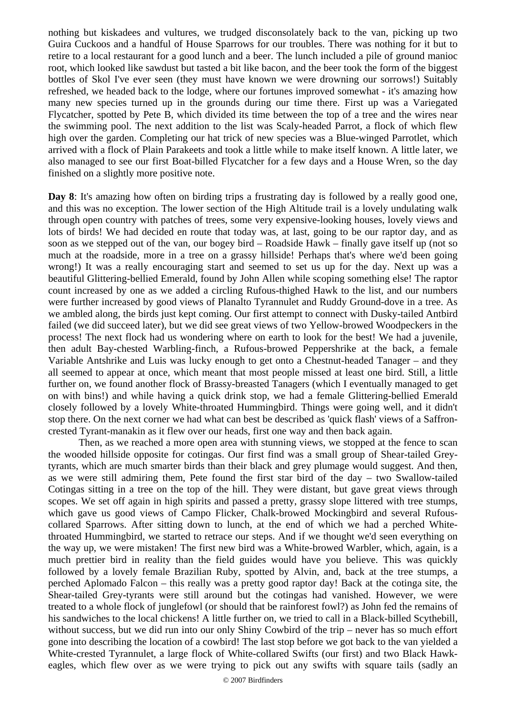nothing but kiskadees and vultures, we trudged disconsolately back to the van, picking up two Guira Cuckoos and a handful of House Sparrows for our troubles. There was nothing for it but to retire to a local restaurant for a good lunch and a beer. The lunch included a pile of ground manioc root, which looked like sawdust but tasted a bit like bacon, and the beer took the form of the biggest bottles of Skol I've ever seen (they must have known we were drowning our sorrows!) Suitably refreshed, we headed back to the lodge, where our fortunes improved somewhat - it's amazing how many new species turned up in the grounds during our time there. First up was a Variegated Flycatcher, spotted by Pete B, which divided its time between the top of a tree and the wires near the swimming pool. The next addition to the list was Scaly-headed Parrot, a flock of which flew high over the garden. Completing our hat trick of new species was a Blue-winged Parrotlet, which arrived with a flock of Plain Parakeets and took a little while to make itself known. A little later, we also managed to see our first Boat-billed Flycatcher for a few days and a House Wren, so the day finished on a slightly more positive note.

**Day 8**: It's amazing how often on birding trips a frustrating day is followed by a really good one, and this was no exception. The lower section of the High Altitude trail is a lovely undulating walk through open country with patches of trees, some very expensive-looking houses, lovely views and lots of birds! We had decided en route that today was, at last, going to be our raptor day, and as soon as we stepped out of the van, our bogey bird – Roadside Hawk – finally gave itself up (not so much at the roadside, more in a tree on a grassy hillside! Perhaps that's where we'd been going wrong!) It was a really encouraging start and seemed to set us up for the day. Next up was a beautiful Glittering-bellied Emerald, found by John Allen while scoping something else! The raptor count increased by one as we added a circling Rufous-thighed Hawk to the list, and our numbers were further increased by good views of Planalto Tyrannulet and Ruddy Ground-dove in a tree. As we ambled along, the birds just kept coming. Our first attempt to connect with Dusky-tailed Antbird failed (we did succeed later), but we did see great views of two Yellow-browed Woodpeckers in the process! The next flock had us wondering where on earth to look for the best! We had a juvenile, then adult Bay-chested Warbling-finch, a Rufous-browed Peppershrike at the back, a female Variable Antshrike and Luis was lucky enough to get onto a Chestnut-headed Tanager – and they all seemed to appear at once, which meant that most people missed at least one bird. Still, a little further on, we found another flock of Brassy-breasted Tanagers (which I eventually managed to get on with bins!) and while having a quick drink stop, we had a female Glittering-bellied Emerald closely followed by a lovely White-throated Hummingbird. Things were going well, and it didn't stop there. On the next corner we had what can best be described as 'quick flash' views of a Saffroncrested Tyrant-manakin as it flew over our heads, first one way and then back again.

Then, as we reached a more open area with stunning views, we stopped at the fence to scan the wooded hillside opposite for cotingas. Our first find was a small group of Shear-tailed Greytyrants, which are much smarter birds than their black and grey plumage would suggest. And then, as we were still admiring them, Pete found the first star bird of the day – two Swallow-tailed Cotingas sitting in a tree on the top of the hill. They were distant, but gave great views through scopes. We set off again in high spirits and passed a pretty, grassy slope littered with tree stumps, which gave us good views of Campo Flicker, Chalk-browed Mockingbird and several Rufouscollared Sparrows. After sitting down to lunch, at the end of which we had a perched Whitethroated Hummingbird, we started to retrace our steps. And if we thought we'd seen everything on the way up, we were mistaken! The first new bird was a White-browed Warbler, which, again, is a much prettier bird in reality than the field guides would have you believe. This was quickly followed by a lovely female Brazilian Ruby, spotted by Alvin, and, back at the tree stumps, a perched Aplomado Falcon – this really was a pretty good raptor day! Back at the cotinga site, the Shear-tailed Grey-tyrants were still around but the cotingas had vanished. However, we were treated to a whole flock of junglefowl (or should that be rainforest fowl?) as John fed the remains of his sandwiches to the local chickens! A little further on, we tried to call in a Black-billed Scythebill, without success, but we did run into our only Shiny Cowbird of the trip – never has so much effort gone into describing the location of a cowbird! The last stop before we got back to the van yielded a White-crested Tyrannulet, a large flock of White-collared Swifts (our first) and two Black Hawkeagles, which flew over as we were trying to pick out any swifts with square tails (sadly an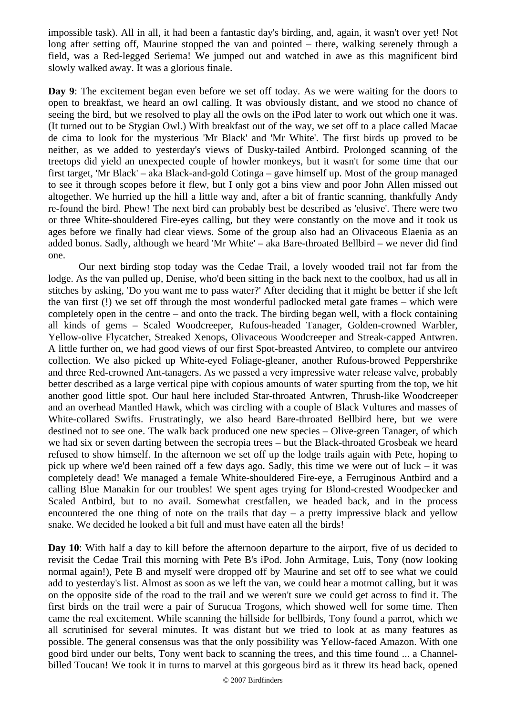impossible task). All in all, it had been a fantastic day's birding, and, again, it wasn't over yet! Not long after setting off, Maurine stopped the van and pointed – there, walking serenely through a field, was a Red-legged Seriema! We jumped out and watched in awe as this magnificent bird slowly walked away. It was a glorious finale.

**Day 9**: The excitement began even before we set off today. As we were waiting for the doors to open to breakfast, we heard an owl calling. It was obviously distant, and we stood no chance of seeing the bird, but we resolved to play all the owls on the iPod later to work out which one it was. (It turned out to be Stygian Owl.) With breakfast out of the way, we set off to a place called Macae de cima to look for the mysterious 'Mr Black' and 'Mr White'. The first birds up proved to be neither, as we added to yesterday's views of Dusky-tailed Antbird. Prolonged scanning of the treetops did yield an unexpected couple of howler monkeys, but it wasn't for some time that our first target, 'Mr Black' – aka Black-and-gold Cotinga – gave himself up. Most of the group managed to see it through scopes before it flew, but I only got a bins view and poor John Allen missed out altogether. We hurried up the hill a little way and, after a bit of frantic scanning, thankfully Andy re-found the bird. Phew! The next bird can probably best be described as 'elusive'. There were two or three White-shouldered Fire-eyes calling, but they were constantly on the move and it took us ages before we finally had clear views. Some of the group also had an Olivaceous Elaenia as an added bonus. Sadly, although we heard 'Mr White' – aka Bare-throated Bellbird – we never did find one.

Our next birding stop today was the Cedae Trail, a lovely wooded trail not far from the lodge. As the van pulled up, Denise, who'd been sitting in the back next to the coolbox, had us all in stitches by asking, 'Do you want me to pass water?' After deciding that it might be better if she left the van first (!) we set off through the most wonderful padlocked metal gate frames – which were completely open in the centre – and onto the track. The birding began well, with a flock containing all kinds of gems – Scaled Woodcreeper, Rufous-headed Tanager, Golden-crowned Warbler, Yellow-olive Flycatcher, Streaked Xenops, Olivaceous Woodcreeper and Streak-capped Antwren. A little further on, we had good views of our first Spot-breasted Antvireo, to complete our antvireo collection. We also picked up White-eyed Foliage-gleaner, another Rufous-browed Peppershrike and three Red-crowned Ant-tanagers. As we passed a very impressive water release valve, probably better described as a large vertical pipe with copious amounts of water spurting from the top, we hit another good little spot. Our haul here included Star-throated Antwren, Thrush-like Woodcreeper and an overhead Mantled Hawk, which was circling with a couple of Black Vultures and masses of White-collared Swifts. Frustratingly, we also heard Bare-throated Bellbird here, but we were destined not to see one. The walk back produced one new species – Olive-green Tanager, of which we had six or seven darting between the secropia trees – but the Black-throated Grosbeak we heard refused to show himself. In the afternoon we set off up the lodge trails again with Pete, hoping to pick up where we'd been rained off a few days ago. Sadly, this time we were out of luck – it was completely dead! We managed a female White-shouldered Fire-eye, a Ferruginous Antbird and a calling Blue Manakin for our troubles! We spent ages trying for Blond-crested Woodpecker and Scaled Antbird, but to no avail. Somewhat crestfallen, we headed back, and in the process encountered the one thing of note on the trails that  $day - a$  pretty impressive black and yellow snake. We decided he looked a bit full and must have eaten all the birds!

**Day 10**: With half a day to kill before the afternoon departure to the airport, five of us decided to revisit the Cedae Trail this morning with Pete B's iPod. John Armitage, Luis, Tony (now looking normal again!), Pete B and myself were dropped off by Maurine and set off to see what we could add to yesterday's list. Almost as soon as we left the van, we could hear a motmot calling, but it was on the opposite side of the road to the trail and we weren't sure we could get across to find it. The first birds on the trail were a pair of Surucua Trogons, which showed well for some time. Then came the real excitement. While scanning the hillside for bellbirds, Tony found a parrot, which we all scrutinised for several minutes. It was distant but we tried to look at as many features as possible. The general consensus was that the only possibility was Yellow-faced Amazon. With one good bird under our belts, Tony went back to scanning the trees, and this time found ... a Channelbilled Toucan! We took it in turns to marvel at this gorgeous bird as it threw its head back, opened